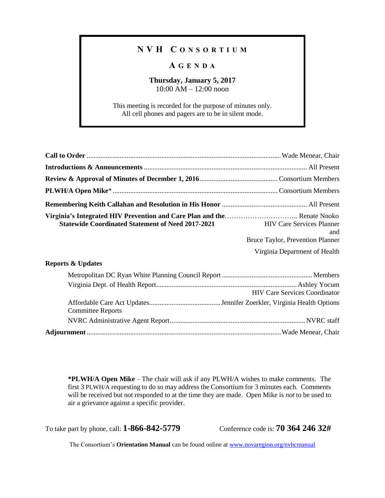### **N V H C O N S O R T I U M**

### **A G E N D A**

# **Thursday, January 5, 2017**

10:00 AM – 12:00 noon

This meeting is recorded for the purpose of minutes only. All cell phones and pagers are to be in silent mode.

| Virginia's Integrated HIV Prevention and Care Plan and the Renate Nnoko<br>Statewide Coordinated Statement of Need 2017-2021 HIV Care Services Planner | and<br>Bruce Taylor, Prevention Planner |
|--------------------------------------------------------------------------------------------------------------------------------------------------------|-----------------------------------------|
|                                                                                                                                                        | Virginia Department of Health           |

#### **Reports & Updates**

|                          | <b>HIV Care Services Coordinator</b> |
|--------------------------|--------------------------------------|
| <b>Committee Reports</b> |                                      |
|                          |                                      |
|                          |                                      |

**\*PLWH/A Open Mike** – The chair will ask if any PLWH/A wishes to make comments. The first 3 PLWH/A requesting to do so may address the Consortium for 3 minutes each. Comments will be received but not responded to at the time they are made. Open Mike is *not* to be used to air a grievance against a specific provider.

To take part by phone, call: **1-866-842-5779** Conference code is: **70 364 246 32#**

The Consortium's **Orientation Manual** can be found online at [www.novaregion.org/nvhcmanual](http://www.novaregion.org/nvhcmanual)